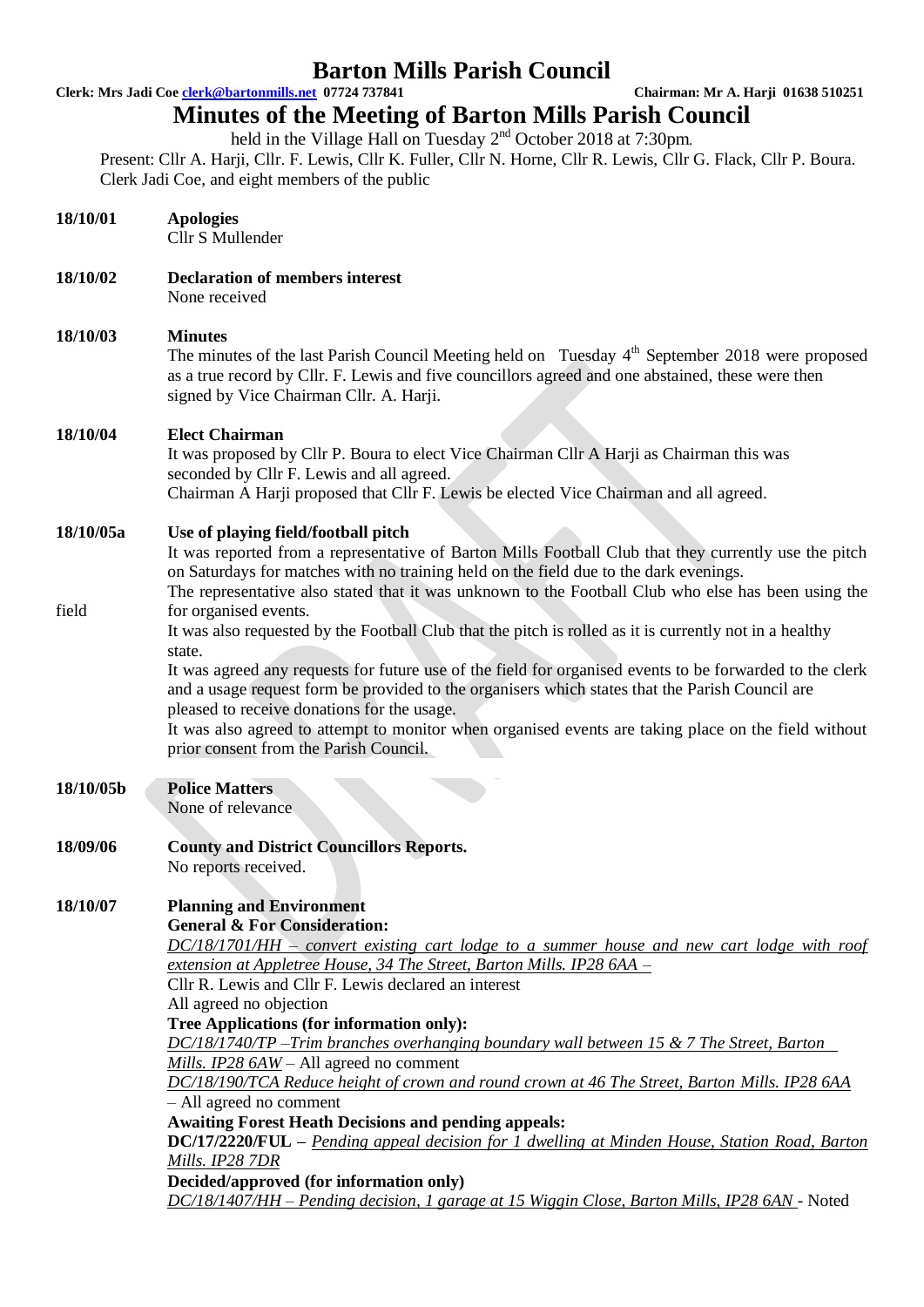**Clerk: Mrs Jadi Coe clerk@bartonmills.net 07724 737841 Chairman: Mr A. Harji 01638 510251**

## **Minutes of the Meeting of Barton Mills Parish Council**

held in the Village Hall on Tuesday  $2<sup>nd</sup>$  October 2018 at 7:30pm. Present: Cllr A. Harji, Cllr. F. Lewis, Cllr K. Fuller, Cllr N. Horne, Cllr R. Lewis, Cllr G. Flack, Cllr P. Boura.

Clerk Jadi Coe, and eight members of the public

| 18/10/01  | <b>Apologies</b><br>Cllr S Mullender                                                                                                                                                                                                                                                                                                                                                                                                                                                                                                                                                                                                                                                                                                                                                                                                                                                                                                                                                             |  |  |  |  |  |
|-----------|--------------------------------------------------------------------------------------------------------------------------------------------------------------------------------------------------------------------------------------------------------------------------------------------------------------------------------------------------------------------------------------------------------------------------------------------------------------------------------------------------------------------------------------------------------------------------------------------------------------------------------------------------------------------------------------------------------------------------------------------------------------------------------------------------------------------------------------------------------------------------------------------------------------------------------------------------------------------------------------------------|--|--|--|--|--|
| 18/10/02  | <b>Declaration of members interest</b><br>None received                                                                                                                                                                                                                                                                                                                                                                                                                                                                                                                                                                                                                                                                                                                                                                                                                                                                                                                                          |  |  |  |  |  |
| 18/10/03  | <b>Minutes</b><br>The minutes of the last Parish Council Meeting held on Tuesday 4 <sup>th</sup> September 2018 were proposed<br>as a true record by Cllr. F. Lewis and five councillors agreed and one abstained, these were then<br>signed by Vice Chairman Cllr. A. Harji.                                                                                                                                                                                                                                                                                                                                                                                                                                                                                                                                                                                                                                                                                                                    |  |  |  |  |  |
| 18/10/04  | <b>Elect Chairman</b><br>It was proposed by Cllr P. Boura to elect Vice Chairman Cllr A Harji as Chairman this was<br>seconded by Cllr F. Lewis and all agreed.<br>Chairman A Harji proposed that Cllr F. Lewis be elected Vice Chairman and all agreed.                                                                                                                                                                                                                                                                                                                                                                                                                                                                                                                                                                                                                                                                                                                                         |  |  |  |  |  |
| 18/10/05a | Use of playing field/football pitch<br>It was reported from a representative of Barton Mills Football Club that they currently use the pitch<br>on Saturdays for matches with no training held on the field due to the dark evenings.<br>The representative also stated that it was unknown to the Football Club who else has been using the                                                                                                                                                                                                                                                                                                                                                                                                                                                                                                                                                                                                                                                     |  |  |  |  |  |
| field     | for organised events.<br>It was also requested by the Football Club that the pitch is rolled as it is currently not in a healthy<br>state.<br>It was agreed any requests for future use of the field for organised events to be forwarded to the clerk<br>and a usage request form be provided to the organisers which states that the Parish Council are<br>pleased to receive donations for the usage.<br>It was also agreed to attempt to monitor when organised events are taking place on the field without<br>prior consent from the Parish Council.                                                                                                                                                                                                                                                                                                                                                                                                                                       |  |  |  |  |  |
| 18/10/05b | <b>Police Matters</b><br>None of relevance                                                                                                                                                                                                                                                                                                                                                                                                                                                                                                                                                                                                                                                                                                                                                                                                                                                                                                                                                       |  |  |  |  |  |
| 18/09/06  | <b>County and District Councillors Reports.</b><br>No reports received.                                                                                                                                                                                                                                                                                                                                                                                                                                                                                                                                                                                                                                                                                                                                                                                                                                                                                                                          |  |  |  |  |  |
| 18/10/07  | <b>Planning and Environment</b><br><b>General &amp; For Consideration:</b><br>$DC/18/1701/HH - convert$ existing cart lodge to a summer house and new cart lodge with roof<br>extension at Appletree House, 34 The Street, Barton Mills. IP28 6AA -<br>Cllr R. Lewis and Cllr F. Lewis declared an interest<br>All agreed no objection<br>Tree Applications (for information only):<br>$DC/18/1740/TP - Tim$ branches overhanging boundary wall between 15 & 7 The Street, Barton<br>Mills. IP28 $6AW - All$ agreed no comment<br>DC/18/190/TCA Reduce height of crown and round crown at 46 The Street, Barton Mills. IP28 6AA<br>- All agreed no comment<br><b>Awaiting Forest Heath Decisions and pending appeals:</b><br><b>DC/17/2220/FUL</b> – Pending appeal decision for 1 dwelling at Minden House, Station Road, Barton<br>Mills. IP28 7DR<br>Decided/approved (for information only)<br>DC/18/1407/HH – Pending decision, 1 garage at 15 Wiggin Close, Barton Mills, IP28 6AN - Noted |  |  |  |  |  |
|           |                                                                                                                                                                                                                                                                                                                                                                                                                                                                                                                                                                                                                                                                                                                                                                                                                                                                                                                                                                                                  |  |  |  |  |  |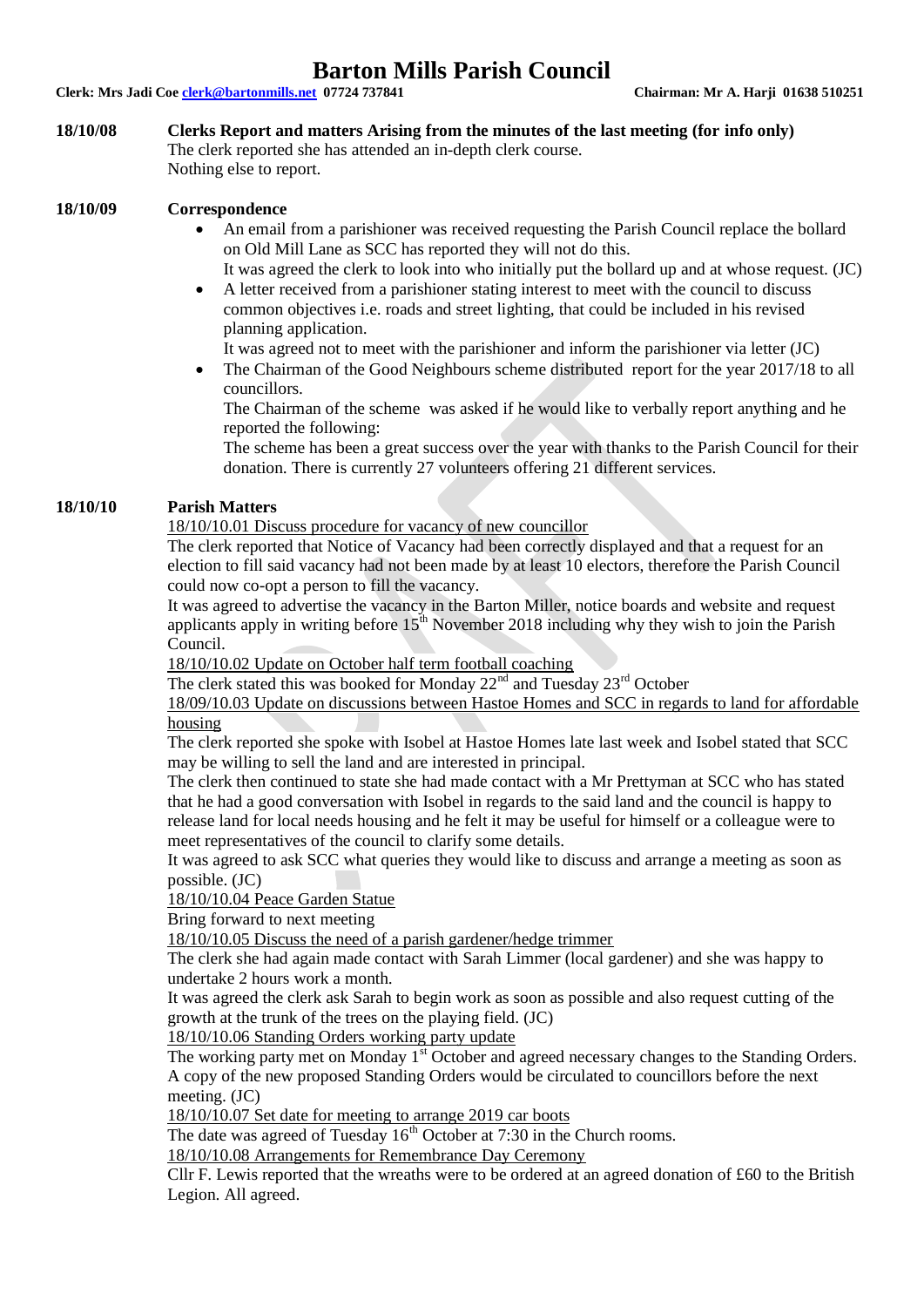**Clerk: Mrs Jadi Coe clerk@bartonmills.net 07724 737841 Chairman: Mr A. Harji 01638 510251**

#### **18/10/08 Clerks Report and matters Arising from the minutes of the last meeting (for info only)** The clerk reported she has attended an in-depth clerk course.

Nothing else to report.

### **18/10/09 Correspondence**

- An email from a parishioner was received requesting the Parish Council replace the bollard on Old Mill Lane as SCC has reported they will not do this. It was agreed the clerk to look into who initially put the bollard up and at whose request. (JC)
- A letter received from a parishioner stating interest to meet with the council to discuss common objectives i.e. roads and street lighting, that could be included in his revised planning application.

It was agreed not to meet with the parishioner and inform the parishioner via letter (JC)

 The Chairman of the Good Neighbours scheme distributed report for the year 2017/18 to all councillors.

The Chairman of the scheme was asked if he would like to verbally report anything and he reported the following:

The scheme has been a great success over the year with thanks to the Parish Council for their donation. There is currently 27 volunteers offering 21 different services.

## **18/10/10 Parish Matters**

18/10/10.01 Discuss procedure for vacancy of new councillor

The clerk reported that Notice of Vacancy had been correctly displayed and that a request for an election to fill said vacancy had not been made by at least 10 electors, therefore the Parish Council could now co-opt a person to fill the vacancy.

It was agreed to advertise the vacancy in the Barton Miller, notice boards and website and request applicants apply in writing before  $15<sup>th</sup>$  November 2018 including why they wish to join the Parish Council.

18/10/10.02 Update on October half term football coaching

The clerk stated this was booked for Monday  $22<sup>nd</sup>$  and Tuesday  $23<sup>rd</sup>$  October

18/09/10.03 Update on discussions between Hastoe Homes and SCC in regards to land for affordable housing

The clerk reported she spoke with Isobel at Hastoe Homes late last week and Isobel stated that SCC may be willing to sell the land and are interested in principal.

The clerk then continued to state she had made contact with a Mr Prettyman at SCC who has stated that he had a good conversation with Isobel in regards to the said land and the council is happy to release land for local needs housing and he felt it may be useful for himself or a colleague were to meet representatives of the council to clarify some details.

It was agreed to ask SCC what queries they would like to discuss and arrange a meeting as soon as possible. (JC)

18/10/10.04 Peace Garden Statue

Bring forward to next meeting

18/10/10.05 Discuss the need of a parish gardener/hedge trimmer

The clerk she had again made contact with Sarah Limmer (local gardener) and she was happy to undertake 2 hours work a month.

It was agreed the clerk ask Sarah to begin work as soon as possible and also request cutting of the growth at the trunk of the trees on the playing field. (JC)

18/10/10.06 Standing Orders working party update

The working party met on Monday 1<sup>st</sup> October and agreed necessary changes to the Standing Orders. A copy of the new proposed Standing Orders would be circulated to councillors before the next meeting. (JC)

18/10/10.07 Set date for meeting to arrange 2019 car boots

The date was agreed of Tuesday  $16<sup>th</sup>$  October at 7:30 in the Church rooms.

18/10/10.08 Arrangements for Remembrance Day Ceremony

Cllr F. Lewis reported that the wreaths were to be ordered at an agreed donation of £60 to the British Legion. All agreed.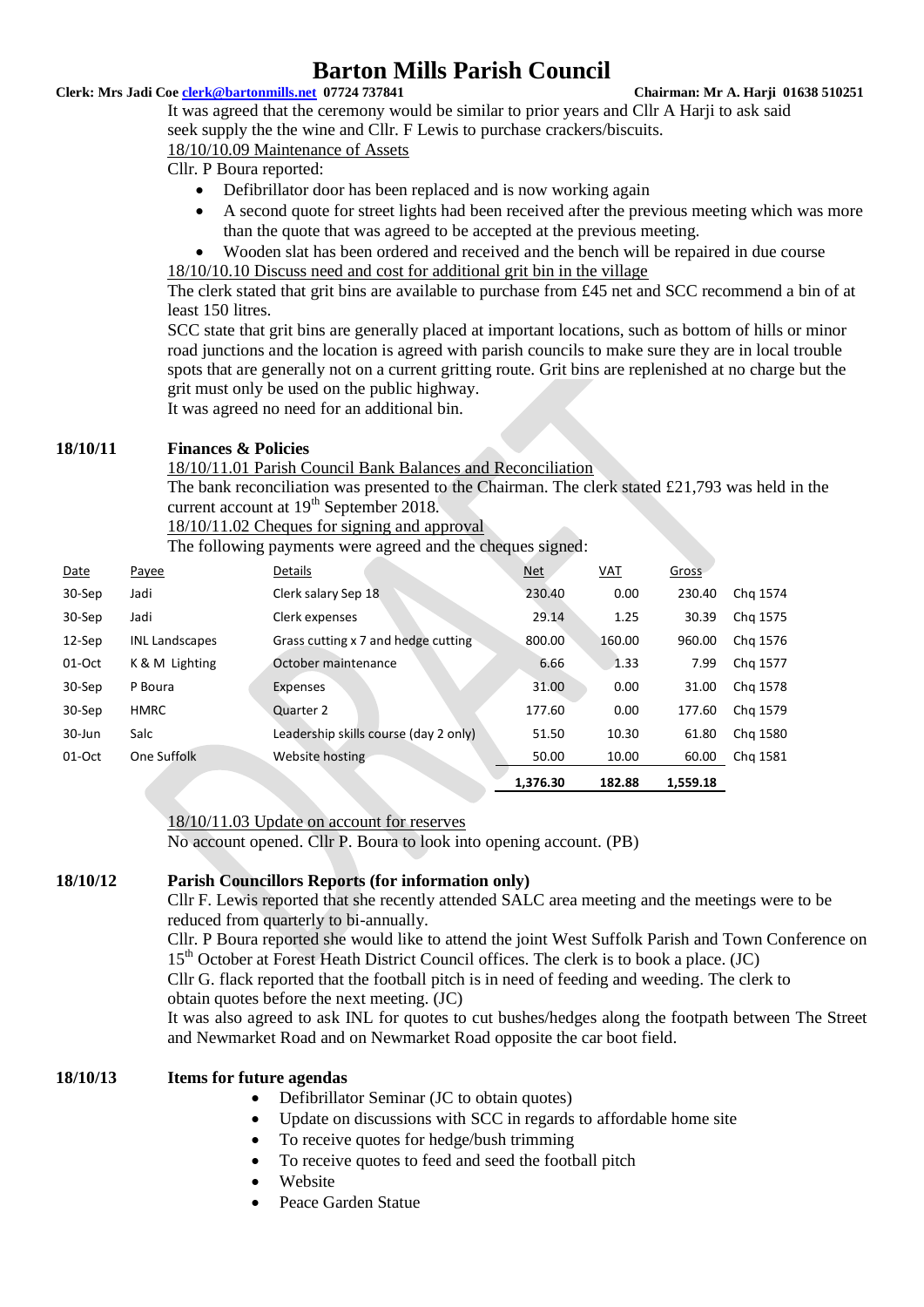#### **Clerk: Mrs Jadi Coe clerk@bartonmills.net 07724 737841 Chairman: Mr A. Harji 01638 510251**

It was agreed that the ceremony would be similar to prior years and Cllr A Harji to ask said seek supply the the wine and Cllr. F Lewis to purchase crackers/biscuits.

#### 18/10/10.09 Maintenance of Assets

Cllr. P Boura reported:

- Defibrillator door has been replaced and is now working again
- A second quote for street lights had been received after the previous meeting which was more than the quote that was agreed to be accepted at the previous meeting.
- Wooden slat has been ordered and received and the bench will be repaired in due course 18/10/10.10 Discuss need and cost for additional grit bin in the village

The clerk stated that grit bins are available to purchase from £45 net and SCC recommend a bin of at least 150 litres.

SCC state that grit bins are generally placed at important locations, such as bottom of hills or minor road junctions and the location is agreed with parish councils to make sure they are in local trouble spots that are generally not on a current gritting route. Grit bins are replenished at no charge but the grit must only be used on the public highway.

It was agreed no need for an additional bin.

### **18/10/11 Finances & Policies**

18/10/11.01 Parish Council Bank Balances and Reconciliation

The bank reconciliation was presented to the Chairman. The clerk stated £21,793 was held in the current account at 19<sup>th</sup> September 2018.

18/10/11.02 Cheques for signing and approval

The following payments were agreed and the cheques signed:

| Date     | Payee                 | Details                               | <u>Net</u> | $VAL$  | Gross    |          |
|----------|-----------------------|---------------------------------------|------------|--------|----------|----------|
| 30-Sep   | Jadi                  | Clerk salary Sep 18                   | 230.40     | 0.00   | 230.40   | Chg 1574 |
| 30-Sep   | Jadi                  | Clerk expenses                        | 29.14      | 1.25   | 30.39    | Chg 1575 |
| 12-Sep   | <b>INL Landscapes</b> | Grass cutting x 7 and hedge cutting   | 800.00     | 160.00 | 960.00   | Chg 1576 |
| $01-Oct$ | K & M Lighting        | October maintenance                   | 6.66       | 1.33   | 7.99     | Chg 1577 |
| 30-Sep   | P Boura               | Expenses                              | 31.00      | 0.00   | 31.00    | Chg 1578 |
| 30-Sep   | <b>HMRC</b>           | Quarter 2                             | 177.60     | 0.00   | 177.60   | Chg 1579 |
| 30-Jun   | Salc                  | Leadership skills course (day 2 only) | 51.50      | 10.30  | 61.80    | Chg 1580 |
| $01-Oct$ | One Suffolk           | Website hosting                       | 50.00      | 10.00  | 60.00    | Chg 1581 |
|          |                       |                                       | 1,376.30   | 182.88 | 1,559.18 |          |

18/10/11.03 Update on account for reserves

No account opened. Cllr P. Boura to look into opening account. (PB)

#### **18/10/12 Parish Councillors Reports (for information only)**

Cllr F. Lewis reported that she recently attended SALC area meeting and the meetings were to be reduced from quarterly to bi-annually.

Cllr. P Boura reported she would like to attend the joint West Suffolk Parish and Town Conference on 15<sup>th</sup> October at Forest Heath District Council offices. The clerk is to book a place. (JC) Cllr G. flack reported that the football pitch is in need of feeding and weeding. The clerk to obtain quotes before the next meeting. (JC)

It was also agreed to ask INL for quotes to cut bushes/hedges along the footpath between The Street and Newmarket Road and on Newmarket Road opposite the car boot field.

### **18/10/13 Items for future agendas**

- Defibrillator Seminar (JC to obtain quotes)
- Update on discussions with SCC in regards to affordable home site
- To receive quotes for hedge/bush trimming
- To receive quotes to feed and seed the football pitch
- Website
- Peace Garden Statue